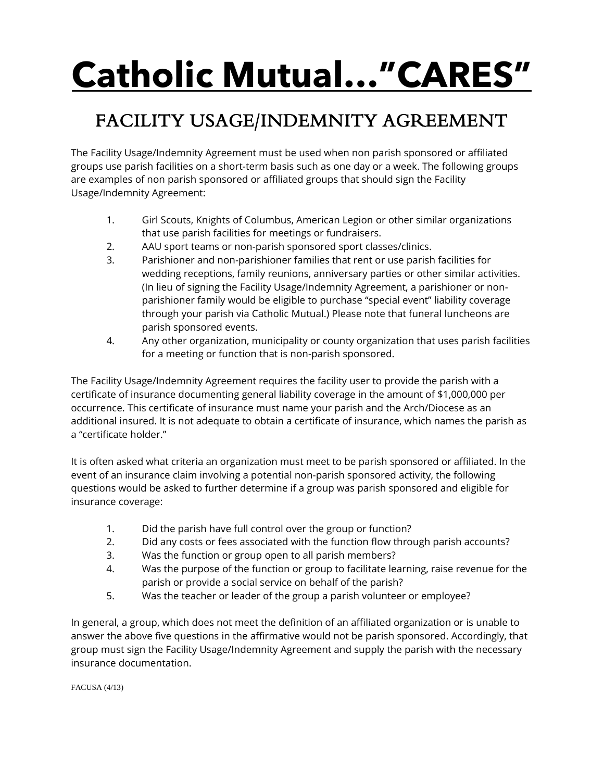## **Catholic Mutual… "CARES"**

## FACILITY USAGE/INDEMNITY AGREEMENT

The Facility Usage/Indemnity Agreement must be used when non parish sponsored or affiliated groups use parish facilities on a short-term basis such as one day or a week. The following groups are examples of non parish sponsored or affiliated groups that should sign the Facility Usage/Indemnity Agreement:

- 1. Girl Scouts, Knights of Columbus, American Legion or other similar organizations that use parish facilities for meetings or fundraisers.
- 2. AAU sport teams or non-parish sponsored sport classes/clinics.
- 3. Parishioner and non-parishioner families that rent or use parish facilities for wedding receptions, family reunions, anniversary parties or other similar activities. (In lieu of signing the Facility Usage/Indemnity Agreement, a parishioner or nonparishioner family would be eligible to purchase "special event" liability coverage through your parish via Catholic Mutual.) Please note that funeral luncheons are parish sponsored events.
- 4. Any other organization, municipality or county organization that uses parish facilities for a meeting or function that is non-parish sponsored.

The Facility Usage/Indemnity Agreement requires the facility user to provide the parish with a certificate of insurance documenting general liability coverage in the amount of \$1,000,000 per occurrence. This certificate of insurance must name your parish and the Arch/Diocese as an additional insured. It is not adequate to obtain a certificate of insurance, which names the parish as a "certificate holder."

It is often asked what criteria an organization must meet to be parish sponsored or affiliated. In the event of an insurance claim involving a potential non-parish sponsored activity, the following questions would be asked to further determine if a group was parish sponsored and eligible for insurance coverage:

- 1. Did the parish have full control over the group or function?
- 2. Did any costs or fees associated with the function flow through parish accounts?
- 3. Was the function or group open to all parish members?
- 4. Was the purpose of the function or group to facilitate learning, raise revenue for the parish or provide a social service on behalf of the parish?
- 5. Was the teacher or leader of the group a parish volunteer or employee?

In general, a group, which does not meet the definition of an affiliated organization or is unable to answer the above five questions in the affirmative would not be parish sponsored. Accordingly, that group must sign the Facility Usage/Indemnity Agreement and supply the parish with the necessary insurance documentation.

FACUSA (4/13)